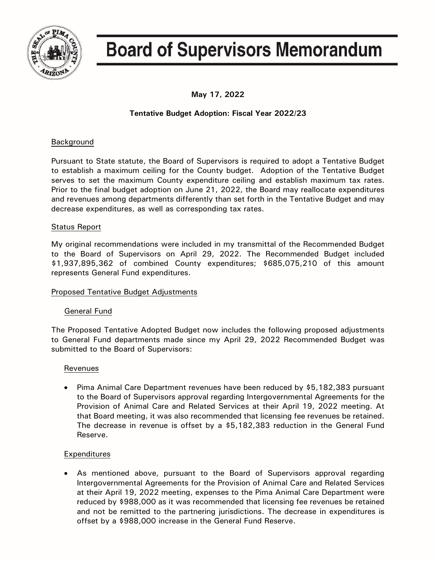

# **Board of Supervisors Memorandum**

**May 17, 2022**

## **Tentative Budget Adoption: Fiscal Year 2022/23**

## Background

Pursuant to State statute, the Board of Supervisors is required to adopt a Tentative Budget to establish a maximum ceiling for the County budget. Adoption of the Tentative Budget serves to set the maximum County expenditure ceiling and establish maximum tax rates. Prior to the final budget adoption on June 21, 2022, the Board may reallocate expenditures and revenues among departments differently than set forth in the Tentative Budget and may decrease expenditures, as well as corresponding tax rates.

## Status Report

My original recommendations were included in my transmittal of the Recommended Budget to the Board of Supervisors on April 29, 2022. The Recommended Budget included \$1,937,895,362 of combined County expenditures; \$685,075,210 of this amount represents General Fund expenditures.

## Proposed Tentative Budget Adjustments

## General Fund

The Proposed Tentative Adopted Budget now includes the following proposed adjustments to General Fund departments made since my April 29, 2022 Recommended Budget was submitted to the Board of Supervisors:

## Revenues

• Pima Animal Care Department revenues have been reduced by \$5,182,383 pursuant to the Board of Supervisors approval regarding Intergovernmental Agreements for the Provision of Animal Care and Related Services at their April 19, 2022 meeting. At that Board meeting, it was also recommended that licensing fee revenues be retained. The decrease in revenue is offset by a \$5,182,383 reduction in the General Fund Reserve.

## Expenditures

• As mentioned above, pursuant to the Board of Supervisors approval regarding Intergovernmental Agreements for the Provision of Animal Care and Related Services at their April 19, 2022 meeting, expenses to the Pima Animal Care Department were reduced by \$988,000 as it was recommended that licensing fee revenues be retained and not be remitted to the partnering jurisdictions. The decrease in expenditures is offset by a \$988,000 increase in the General Fund Reserve.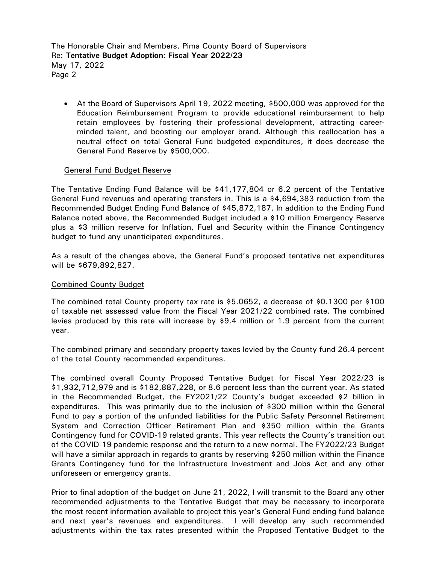The Honorable Chair and Members, Pima County Board of Supervisors Re: **Tentative Budget Adoption: Fiscal Year 2022/23** May 17, 2022 Page 2

• At the Board of Supervisors April 19, 2022 meeting, \$500,000 was approved for the Education Reimbursement Program to provide educational reimbursement to help retain employees by fostering their professional development, attracting careerminded talent, and boosting our employer brand. Although this reallocation has a neutral effect on total General Fund budgeted expenditures, it does decrease the General Fund Reserve by \$500,000.

#### General Fund Budget Reserve

The Tentative Ending Fund Balance will be \$41,177,804 or 6.2 percent of the Tentative General Fund revenues and operating transfers in. This is a \$4,694,383 reduction from the Recommended Budget Ending Fund Balance of \$45,872,187. In addition to the Ending Fund Balance noted above, the Recommended Budget included a \$10 million Emergency Reserve plus a \$3 million reserve for Inflation, Fuel and Security within the Finance Contingency budget to fund any unanticipated expenditures.

As a result of the changes above, the General Fund's proposed tentative net expenditures will be \$679,892,827.

#### Combined County Budget

The combined total County property tax rate is \$5.0652, a decrease of \$0.1300 per \$100 of taxable net assessed value from the Fiscal Year 2021/22 combined rate. The combined levies produced by this rate will increase by \$9.4 million or 1.9 percent from the current year.

The combined primary and secondary property taxes levied by the County fund 26.4 percent of the total County recommended expenditures.

The combined overall County Proposed Tentative Budget for Fiscal Year 2022/23 is \$1,932,712,979 and is \$182,887,228, or 8.6 percent less than the current year. As stated in the Recommended Budget, the FY2021/22 County's budget exceeded \$2 billion in expenditures. This was primarily due to the inclusion of \$300 million within the General Fund to pay a portion of the unfunded liabilities for the Public Safety Personnel Retirement System and Correction Officer Retirement Plan and \$350 million within the Grants Contingency fund for COVID-19 related grants. This year reflects the County's transition out of the COVID-19 pandemic response and the return to a new normal. The FY2022/23 Budget will have a similar approach in regards to grants by reserving \$250 million within the Finance Grants Contingency fund for the Infrastructure Investment and Jobs Act and any other unforeseen or emergency grants.

Prior to final adoption of the budget on June 21, 2022, I will transmit to the Board any other recommended adjustments to the Tentative Budget that may be necessary to incorporate the most recent information available to project this year's General Fund ending fund balance and next year's revenues and expenditures. I will develop any such recommended adjustments within the tax rates presented within the Proposed Tentative Budget to the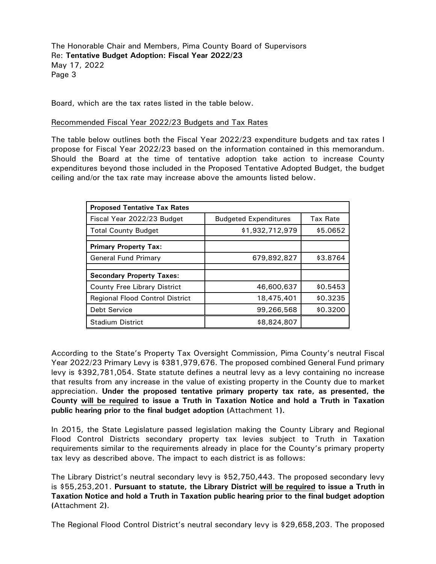The Honorable Chair and Members, Pima County Board of Supervisors Re: **Tentative Budget Adoption: Fiscal Year 2022/23** May 17, 2022 Page 3

Board, which are the tax rates listed in the table below.

#### Recommended Fiscal Year 2022/23 Budgets and Tax Rates

The table below outlines both the Fiscal Year 2022/23 expenditure budgets and tax rates I propose for Fiscal Year 2022/23 based on the information contained in this memorandum. Should the Board at the time of tentative adoption take action to increase County expenditures beyond those included in the Proposed Tentative Adopted Budget, the budget ceiling and/or the tax rate may increase above the amounts listed below.

| <b>Proposed Tentative Tax Rates</b>    |                              |          |
|----------------------------------------|------------------------------|----------|
| Fiscal Year 2022/23 Budget             | <b>Budgeted Expenditures</b> | Tax Rate |
| <b>Total County Budget</b>             | \$1,932,712,979              | \$5.0652 |
| <b>Primary Property Tax:</b>           |                              |          |
| General Fund Primary                   | 679,892,827                  | \$3.8764 |
|                                        |                              |          |
| <b>Secondary Property Taxes:</b>       |                              |          |
| <b>County Free Library District</b>    | 46,600,637                   | \$0.5453 |
| <b>Regional Flood Control District</b> | 18,475,401                   | \$0.3235 |
| <b>Debt Service</b>                    | 99,266,568                   | \$0.3200 |
| <b>Stadium District</b>                | \$8,824,807                  |          |

According to the State's Property Tax Oversight Commission, Pima County's neutral Fiscal Year 2022/23 Primary Levy is \$381,979,676. The proposed combined General Fund primary levy is \$392,781,054. State statute defines a neutral levy as a levy containing no increase that results from any increase in the value of existing property in the County due to market appreciation. **Under the proposed tentative primary property tax rate, as presented, the County will be required to issue a Truth in Taxation Notice and hold a Truth in Taxation public hearing prior to the final budget adoption (**Attachment 1**).**

In 2015, the State Legislature passed legislation making the County Library and Regional Flood Control Districts secondary property tax levies subject to Truth in Taxation requirements similar to the requirements already in place for the County's primary property tax levy as described above. The impact to each district is as follows:

The Library District's neutral secondary levy is \$52,750,443. The proposed secondary levy is \$55,253,201. **Pursuant to statute, the Library District will be required to issue a Truth in Taxation Notice and hold a Truth in Taxation public hearing prior to the final budget adoption (**Attachment 2**)**.

The Regional Flood Control District's neutral secondary levy is \$29,658,203. The proposed